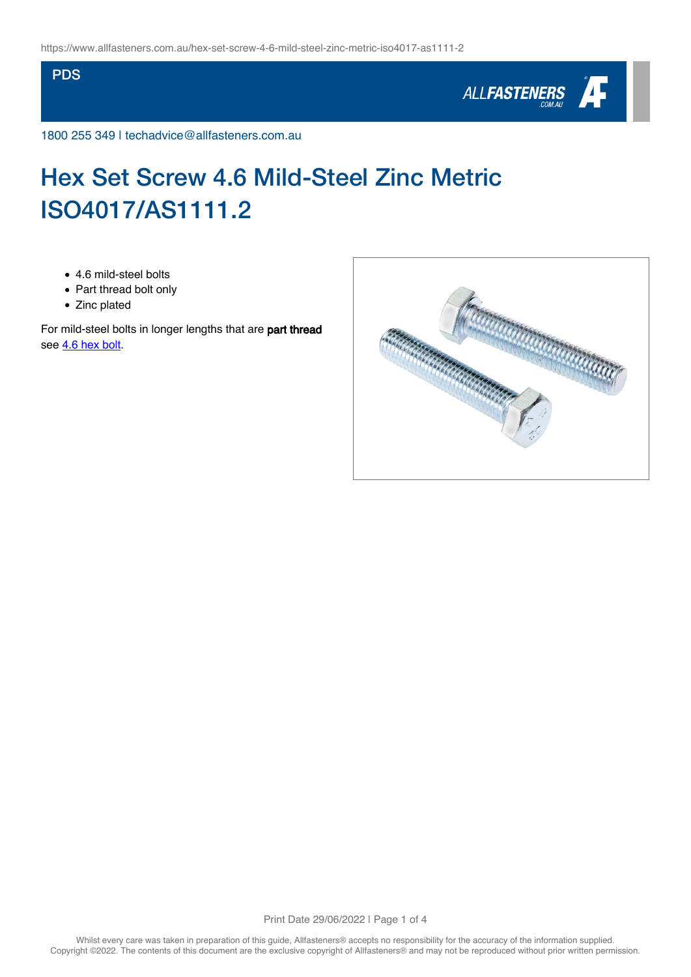### **PDS**



1800 255 349 | techadvice@allfasteners.com.au

# Hex Set Screw 4.6 Mild-Steel Zinc Metric ISO4017/AS1111.2

- 4.6 mild-steel bolts
- Part thread bolt only
- Zinc plated

For mild-steel bolts in longer lengths that are part thread see [4.6 hex bolt](https://www.allfasteners.com.au/hex-bolt-4-6-mild-steel-zinc-iso4014-as1111-1).

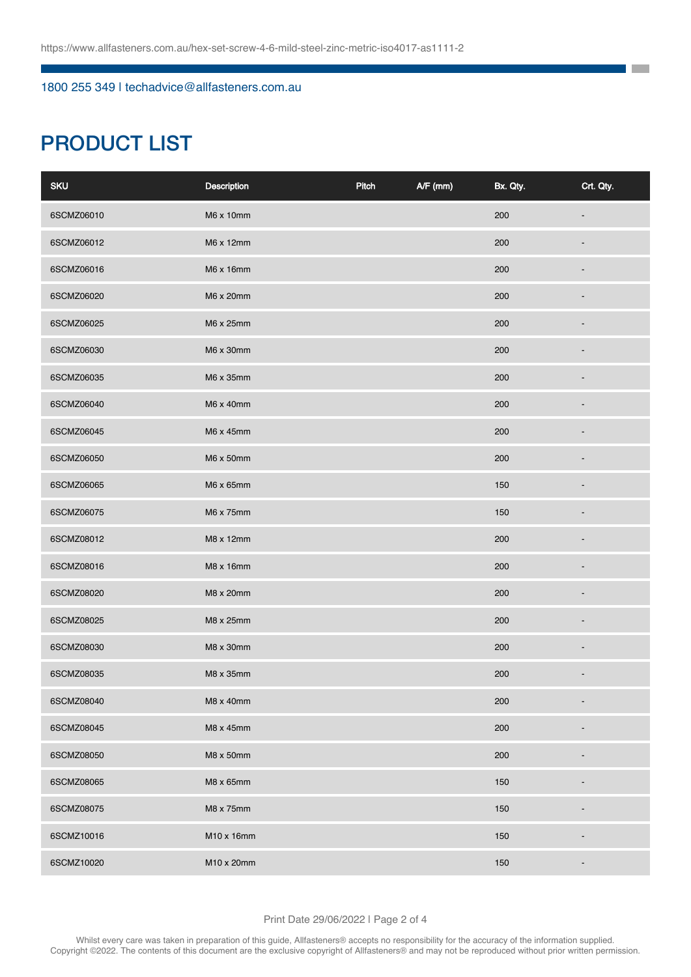## 1800 255 349 | techadvice@allfasteners.com.au

# PRODUCT LIST

| <b>SKU</b> | Description | Pitch | $A/F$ (mm) | Bx. Qty. | Crt. Qty.                |
|------------|-------------|-------|------------|----------|--------------------------|
| 6SCMZ06010 | M6 x 10mm   |       |            | 200      |                          |
| 6SCMZ06012 | M6 x 12mm   |       |            | 200      |                          |
| 6SCMZ06016 | M6 x 16mm   |       |            | 200      |                          |
| 6SCMZ06020 | M6 x 20mm   |       |            | 200      |                          |
| 6SCMZ06025 | M6 x 25mm   |       |            | 200      |                          |
| 6SCMZ06030 | M6 x 30mm   |       |            | 200      |                          |
| 6SCMZ06035 | M6 x 35mm   |       |            | 200      |                          |
| 6SCMZ06040 | M6 x 40mm   |       |            | 200      |                          |
| 6SCMZ06045 | M6 x 45mm   |       |            | 200      |                          |
| 6SCMZ06050 | M6 x 50mm   |       |            | 200      |                          |
| 6SCMZ06065 | M6 x 65mm   |       |            | 150      |                          |
| 6SCMZ06075 | M6 x 75mm   |       |            | 150      | ٠                        |
| 6SCMZ08012 | M8 x 12mm   |       |            | 200      |                          |
| 6SCMZ08016 | M8 x 16mm   |       |            | 200      |                          |
| 6SCMZ08020 | M8 x 20mm   |       |            | 200      |                          |
| 6SCMZ08025 | M8 x 25mm   |       |            | 200      |                          |
| 6SCMZ08030 | M8 x 30mm   |       |            | 200      |                          |
| 6SCMZ08035 | M8 x 35mm   |       |            | 200      |                          |
| 6SCMZ08040 | M8 x 40mm   |       |            | 200      | $\overline{\phantom{a}}$ |
| 6SCMZ08045 | M8 x 45mm   |       |            | 200      |                          |
| 6SCMZ08050 | M8 x 50mm   |       |            | 200      | ٠                        |
| 6SCMZ08065 | M8 x 65mm   |       |            | 150      |                          |
| 6SCMZ08075 | M8 x 75mm   |       |            | 150      |                          |
| 6SCMZ10016 | M10 x 16mm  |       |            | 150      |                          |
| 6SCMZ10020 | M10 x 20mm  |       |            | 150      | -                        |

٦ **The Co**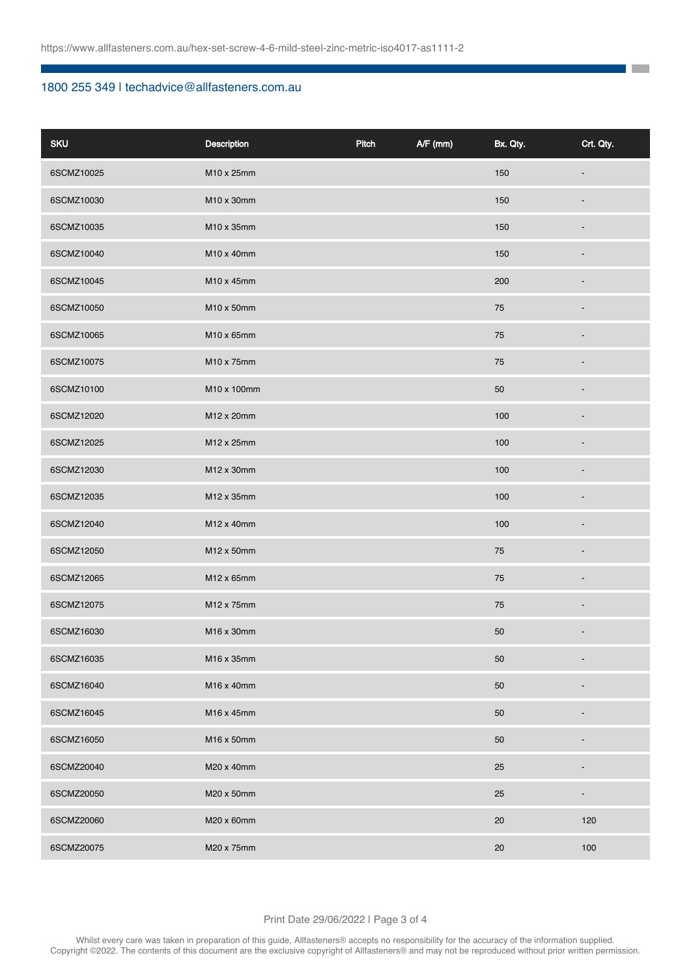## 1800 255 349 | techadvice@allfasteners.com.au

| <b>SKU</b> | <b>Description</b> | Pitch | $A/F$ (mm) | Bx. Qty. | Crt. Qty.                |
|------------|--------------------|-------|------------|----------|--------------------------|
| 6SCMZ10025 | M10 x 25mm         |       |            | 150      |                          |
| 6SCMZ10030 | M10 x 30mm         |       |            | 150      |                          |
| 6SCMZ10035 | M10 x 35mm         |       |            | 150      |                          |
| 6SCMZ10040 | M10 x 40mm         |       |            | 150      |                          |
| 6SCMZ10045 | M10 x 45mm         |       |            | 200      |                          |
| 6SCMZ10050 | M10 x 50mm         |       |            | 75       |                          |
| 6SCMZ10065 | M10 x 65mm         |       |            | 75       |                          |
| 6SCMZ10075 | M10 x 75mm         |       |            | 75       |                          |
| 6SCMZ10100 | M10 x 100mm        |       |            | 50       |                          |
| 6SCMZ12020 | M12 x 20mm         |       |            | 100      |                          |
| 6SCMZ12025 | M12 x 25mm         |       |            | 100      |                          |
| 6SCMZ12030 | M12 x 30mm         |       |            | 100      |                          |
| 6SCMZ12035 | M12 x 35mm         |       |            | 100      |                          |
| 6SCMZ12040 | M12 x 40mm         |       |            | 100      |                          |
| 6SCMZ12050 | M12 x 50mm         |       |            | 75       |                          |
| 6SCMZ12065 | M12 x 65mm         |       |            | 75       |                          |
| 6SCMZ12075 | M12 x 75mm         |       |            | 75       | $\overline{\phantom{0}}$ |
| 6SCMZ16030 | M16 x 30mm         |       |            | 50       | $\overline{\phantom{m}}$ |
| 6SCMZ16035 | M16 x 35mm         |       |            | 50       | $\centerdot$             |
| 6SCMZ16040 | M16 x 40mm         |       |            | 50       |                          |
| 6SCMZ16045 | M16 x 45mm         |       |            | 50       |                          |
| 6SCMZ16050 | M16 x 50mm         |       |            | 50       |                          |
| 6SCMZ20040 | M20 x 40mm         |       |            | 25       |                          |
| 6SCMZ20050 | M20 x 50mm         |       |            | 25       | -                        |
| 6SCMZ20060 | M20 x 60mm         |       |            | 20       | 120                      |
| 6SCMZ20075 | M20 x 75mm         |       |            | 20       | 100                      |

**The Co** 

#### Print Date 29/06/2022 | Page 3 of 4